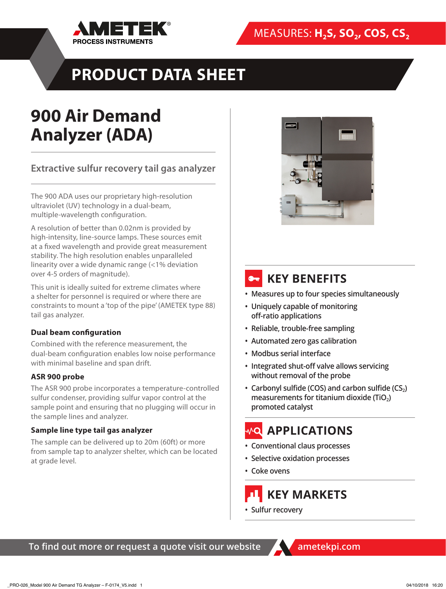

# **PRODUCT DATA SHEET**

# **900 Air Demand Analyzer (ADA)**

**Extractive sulfur recovery tail gas analyzer** 

The 900 ADA uses our proprietary high-resolution ultraviolet (UV) technology in a dual-beam, multiple-wavelength configuration.

A resolution of better than 0.02nm is provided by high-intensity, line-source lamps. These sources emit at a fixed wavelength and provide great measurement stability. The high resolution enables unparalleled linearity over a wide dynamic range (<1% deviation over 4-5 orders of magnitude).

This unit is ideally suited for extreme climates where a shelter for personnel is required or where there are constraints to mount a 'top of the pipe' (AMETEK type 88) tail gas analyzer.

## **Dual beam configuration**

Combined with the reference measurement, the dual-beam configuration enables low noise performance with minimal baseline and span drift.

## **ASR 900 probe**

The ASR 900 probe incorporates a temperature-controlled sulfur condenser, providing sulfur vapor control at the sample point and ensuring that no plugging will occur in the sample lines and analyzer.

## **Sample line type tail gas analyzer**

The sample can be delivered up to 20m (60ft) or more from sample tap to analyzer shelter, which can be located at grade level.



## **8. KEY BENEFITS**

- **• Measures up to four species simultaneously**
- **• Uniquely capable of monitoring off-ratio applications**
- **• Reliable, trouble-free sampling**
- **• Automated zero gas calibration**
- **• Modbus serial interface**
- **• Integrated shut-off valve allows servicing without removal of the probe**
- **• Carbonyl sulfide (COS) and carbon sulfide (CS2) measurements for titanium dioxide (TiO2) promoted catalyst**

## *<b>MQ APPLICATIONS*

- **• Conventional claus processes**
- **• Selective oxidation processes**
- **• Coke ovens**

 **KEY MARKETS**

**• Sulfur recovery**

**To find out more or request a quote visit our website ametekpi.com**